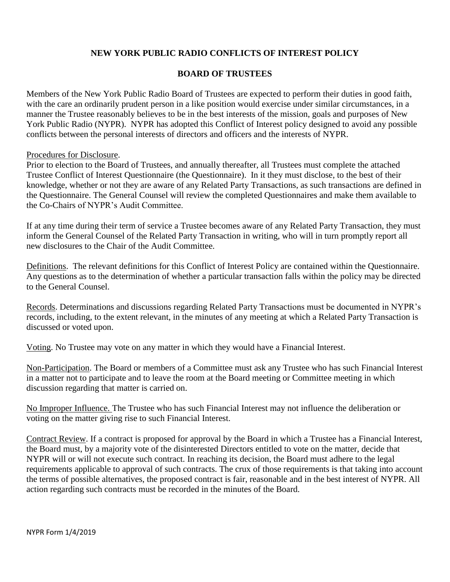## **NEW YORK PUBLIC RADIO CONFLICTS OF INTEREST POLICY**

## **BOARD OF TRUSTEES**

Members of the New York Public Radio Board of Trustees are expected to perform their duties in good faith, with the care an ordinarily prudent person in a like position would exercise under similar circumstances, in a manner the Trustee reasonably believes to be in the best interests of the mission, goals and purposes of New York Public Radio (NYPR). NYPR has adopted this Conflict of Interest policy designed to avoid any possible conflicts between the personal interests of directors and officers and the interests of NYPR.

#### Procedures for Disclosure.

Prior to election to the Board of Trustees, and annually thereafter, all Trustees must complete the attached Trustee Conflict of Interest Questionnaire (the Questionnaire). In it they must disclose, to the best of their knowledge, whether or not they are aware of any Related Party Transactions, as such transactions are defined in the Questionnaire. The General Counsel will review the completed Questionnaires and make them available to the Co-Chairs of NYPR's Audit Committee.

If at any time during their term of service a Trustee becomes aware of any Related Party Transaction, they must inform the General Counsel of the Related Party Transaction in writing, who will in turn promptly report all new disclosures to the Chair of the Audit Committee.

Definitions. The relevant definitions for this Conflict of Interest Policy are contained within the Questionnaire. Any questions as to the determination of whether a particular transaction falls within the policy may be directed to the General Counsel.

Records. Determinations and discussions regarding Related Party Transactions must be documented in NYPR's records, including, to the extent relevant, in the minutes of any meeting at which a Related Party Transaction is discussed or voted upon.

Voting. No Trustee may vote on any matter in which they would have a Financial Interest.

Non-Participation. The Board or members of a Committee must ask any Trustee who has such Financial Interest in a matter not to participate and to leave the room at the Board meeting or Committee meeting in which discussion regarding that matter is carried on.

No Improper Influence. The Trustee who has such Financial Interest may not influence the deliberation or voting on the matter giving rise to such Financial Interest.

Contract Review. If a contract is proposed for approval by the Board in which a Trustee has a Financial Interest, the Board must, by a majority vote of the disinterested Directors entitled to vote on the matter, decide that NYPR will or will not execute such contract. In reaching its decision, the Board must adhere to the legal requirements applicable to approval of such contracts. The crux of those requirements is that taking into account the terms of possible alternatives, the proposed contract is fair, reasonable and in the best interest of NYPR. All action regarding such contracts must be recorded in the minutes of the Board.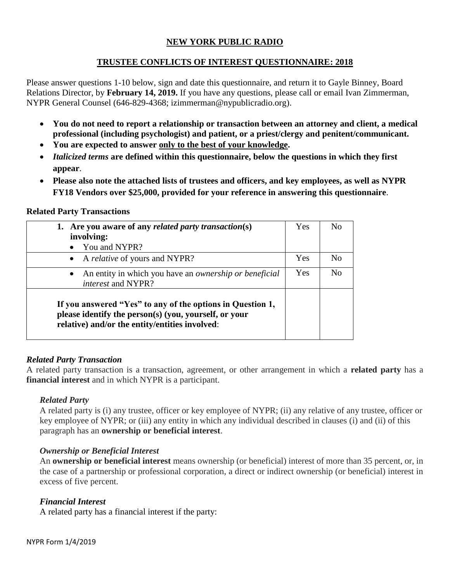# **NEW YORK PUBLIC RADIO**

## **TRUSTEE CONFLICTS OF INTEREST QUESTIONNAIRE: 2018**

Please answer questions 1-10 below, sign and date this questionnaire, and return it to Gayle Binney, Board Relations Director, by **February 14, 2019.** If you have any questions, please call or email Ivan Zimmerman, NYPR General Counsel (646-829-4368; izimmerman@nypublicradio.org).

- **You do not need to report a relationship or transaction between an attorney and client, a medical professional (including psychologist) and patient, or a priest/clergy and penitent/communicant.**
- **You are expected to answer only to the best of your knowledge.**
- *Italicized terms* **are defined within this questionnaire, below the questions in which they first appear**.
- **Please also note the attached lists of trustees and officers, and key employees, as well as NYPR FY18 Vendors over \$25,000, provided for your reference in answering this questionnaire**.

#### **Related Party Transactions**

| 1. Are you aware of any related party transaction(s)<br>involving:                                                                                                    | Yes | N <sub>0</sub>     |
|-----------------------------------------------------------------------------------------------------------------------------------------------------------------------|-----|--------------------|
| You and NYPR?                                                                                                                                                         |     |                    |
| • A <i>relative</i> of yours and NYPR?                                                                                                                                | Yes | No                 |
| An entity in which you have an ownership or beneficial<br>$\bullet$<br><i>interest</i> and NYPR?                                                                      | Yes | $\overline{N}_{0}$ |
| If you answered "Yes" to any of the options in Question 1,<br>please identify the person(s) (you, yourself, or your<br>relative) and/or the entity/entities involved: |     |                    |

## *Related Party Transaction*

A related party transaction is a transaction, agreement, or other arrangement in which a **related party** has a **financial interest** and in which NYPR is a participant.

## *Related Party*

A related party is (i) any trustee, officer or key employee of NYPR; (ii) any relative of any trustee, officer or key employee of NYPR; or (iii) any entity in which any individual described in clauses (i) and (ii) of this paragraph has an **ownership or beneficial interest**.

## *Ownership or Beneficial Interest*

An **ownership or beneficial interest** means ownership (or beneficial) interest of more than 35 percent, or, in the case of a partnership or professional corporation, a direct or indirect ownership (or beneficial) interest in excess of five percent.

## *Financial Interest*

A related party has a financial interest if the party: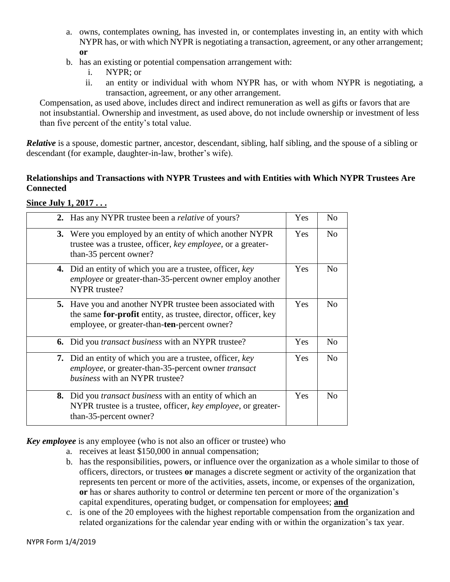- a. owns, contemplates owning, has invested in, or contemplates investing in, an entity with which NYPR has, or with which NYPR is negotiating a transaction, agreement, or any other arrangement; **or**
- b. has an existing or potential compensation arrangement with:
	- i. NYPR; or
	- ii. an entity or individual with whom NYPR has, or with whom NYPR is negotiating, a transaction, agreement, or any other arrangement.

Compensation, as used above, includes direct and indirect remuneration as well as gifts or favors that are not insubstantial. Ownership and investment, as used above, do not include ownership or investment of less than five percent of the entity's total value.

*Relative* is a spouse, domestic partner, ancestor, descendant, sibling, half sibling, and the spouse of a sibling or descendant (for example, daughter-in-law, brother's wife).

#### **Relationships and Transactions with NYPR Trustees and with Entities with Which NYPR Trustees Are Connected**

| $\mathbf{O}\mathbf{H}\mathbf{C}\mathbf{C}$ oury $\mathbf{I}\mathbf{C}$ and $\mathbf{C}\mathbf{C}$ |
|---------------------------------------------------------------------------------------------------|
| 2. Has any NYPR trust                                                                             |

**Since July 1, 2017 . . .**

| 2. Has any NYPR trustee been a <i>relative</i> of yours?                                                                                                                           | Yes        | N <sub>0</sub> |
|------------------------------------------------------------------------------------------------------------------------------------------------------------------------------------|------------|----------------|
| <b>3.</b> Were you employed by an entity of which another NYPR<br>trustee was a trustee, officer, key employee, or a greater-<br>than-35 percent owner?                            | Yes        | N <sub>o</sub> |
| <b>4.</b> Did an entity of which you are a trustee, officer, key<br><i>employee</i> or greater-than-35-percent owner employ another<br>NYPR trustee?                               | <b>Yes</b> | N <sub>0</sub> |
| <b>5.</b> Have you and another NYPR trustee been associated with<br>the same for-profit entity, as trustee, director, officer, key<br>employee, or greater-than-ten-percent owner? | Yes        | N <sub>o</sub> |
| <b>6.</b> Did you <i>transact business</i> with an NYPR trustee?                                                                                                                   | <b>Yes</b> | N <sub>0</sub> |
| 7. Did an entity of which you are a trustee, officer, key<br><i>employee</i> , or greater-than-35-percent owner <i>transact</i><br>business with an NYPR trustee?                  | Yes        | N <sub>o</sub> |
| 8. Did you transact business with an entity of which an<br>NYPR trustee is a trustee, officer, key employee, or greater-<br>than-35-percent owner?                                 | Yes        | No             |

*Key employee* is any employee (who is not also an officer or trustee) who

- a. receives at least \$150,000 in annual compensation;
- b. has the responsibilities, powers, or influence over the organization as a whole similar to those of officers, directors, or trustees **or** manages a discrete segment or activity of the organization that represents ten percent or more of the activities, assets, income, or expenses of the organization, **or** has or shares authority to control or determine ten percent or more of the organization's capital expenditures, operating budget, or compensation for employees; **and**
- c. is one of the 20 employees with the highest reportable compensation from the organization and related organizations for the calendar year ending with or within the organization's tax year.